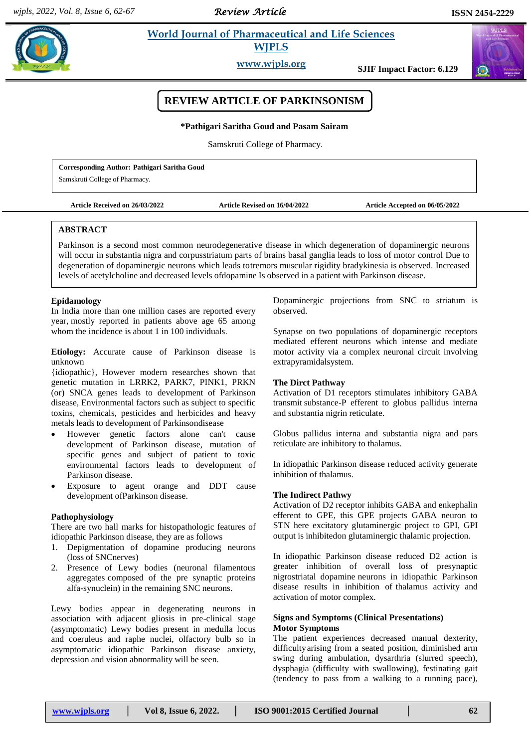*Review Article* 

#### **Pathigarithm** *World Journal of Pharmaceutical and Life Sciences* **<b>Experimental**  $\bullet$  **World Journal of Pharmaceutical and Life Sciences WJPLS**

**www.wjpls.org SJIF Impact Factor: 6.129**



# **REVIEW ARTICLE OF PARKINSONISM**

**\*Pathigari Saritha Goud and Pasam Sairam**

Samskruti College of Pharmacy.

**Corresponding Author: Pathigari Saritha Goud**

Samskruti College of Pharmacy.

**Article Received on 26/03/2022 Article Revised on 16/04/2022 Article Accepted on 06/05/2022**

### **ABSTRACT**

Parkinson is a second most common neurodegenerative disease in which degeneration of dopaminergic neurons will occur in substantia nigra and corpusstriatum parts of brains basal ganglia leads to loss of motor control Due to degeneration of dopaminergic neurons which leads totremors muscular rigidity bradykinesia is observed. Increased levels of acetylcholine and decreased levels ofdopamine Is observed in a patient with Parkinson disease.

### **Epidamology**

In India more than one million cases are reported every year, mostly reported in patients above age 65 among whom the incidence is about 1 in 100 individuals.

**Etiology:** Accurate cause of Parkinson disease is unknown

{idiopathic}, However modern researches shown that genetic mutation in LRRK2, PARK7, PINK1, PRKN (or) SNCA genes leads to development of Parkinson disease, Environmental factors such as subject to specific toxins, chemicals, pesticides and herbicides and heavy metals leads to development of Parkinsondisease

- However genetic factors alone can't cause development of Parkinson disease, mutation of specific genes and subject of patient to toxic environmental factors leads to development of Parkinson disease.
- Exposure to agent orange and DDT cause development ofParkinson disease.

### **Pathophysiology**

There are two hall marks for histopathologic features of idiopathic Parkinson disease, they are as follows

- 1. Depigmentation of dopamine producing neurons (loss of SNCnerves)
- 2. Presence of Lewy bodies (neuronal filamentous aggregates composed of the pre synaptic proteins alfa-synuclein) in the remaining SNC neurons.

Lewy bodies appear in degenerating neurons in association with adjacent gliosis in pre-clinical stage (asymptomatic) Lewy bodies present in medulla locus and coeruleus and raphe nuclei, olfactory bulb so in asymptomatic idiopathic Parkinson disease anxiety, depression and vision abnormality will be seen.

Dopaminergic projections from SNC to striatum is observed.

Synapse on two populations of dopaminergic receptors mediated efferent neurons which intense and mediate motor activity via a complex neuronal circuit involving extrapyramidalsystem.

### **The Dirct Pathway**

Activation of D1 receptors stimulates inhibitory GABA transmit substance-P efferent to globus pallidus interna and substantia nigrin reticulate.

Globus pallidus interna and substantia nigra and pars reticulate are inhibitory to thalamus.

In idiopathic Parkinson disease reduced activity generate inhibition of thalamus.

#### **The Indirect Pathwy**

Activation of D2 receptor inhibits GABA and enkephalin efferent to GPE, this GPE projects GABA neuron to STN here excitatory glutaminergic project to GPI, GPI output is inhibitedon glutaminergic thalamic projection.

In idiopathic Parkinson disease reduced D2 action is greater inhibition of overall loss of presynaptic nigrostriatal dopamine neurons in idiopathic Parkinson disease results in inhibition of thalamus activity and activation of motor complex.

### **Signs and Symptoms (Clinical Presentations) Motor Symptoms**

The patient experiences decreased manual dexterity, difficultyarising from a seated position, diminished arm swing during ambulation, dysarthria (slurred speech), dysphagia (difficulty with swallowing), festinating gait (tendency to pass from a walking to a running pace),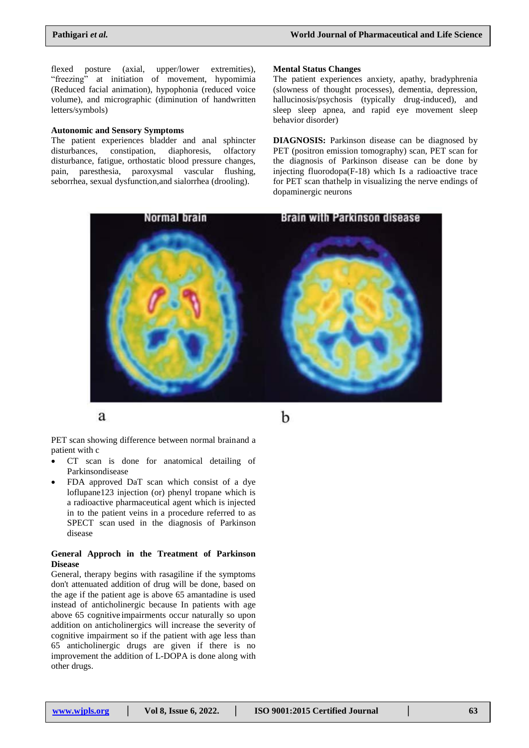flexed posture (axial, upper/lower extremities), "freezing" at initiation of movement, hypomimia (Reduced facial animation), hypophonia (reduced voice volume), and micrographic (diminution of handwritten letters/symbols)

### **Autonomic and Sensory Symptoms**

The patient experiences bladder and anal sphincter disturbances, constipation, diaphoresis, olfactory disturbance, fatigue, orthostatic blood pressure changes, pain, paresthesia, paroxysmal vascular flushing, seborrhea, sexual dysfunction,and sialorrhea (drooling).

#### **Mental Status Changes**

The patient experiences anxiety, apathy, bradyphrenia (slowness of thought processes), dementia, depression, hallucinosis/psychosis (typically drug-induced), and sleep sleep apnea, and rapid eye movement sleep behavior disorder)

**DIAGNOSIS:** Parkinson disease can be diagnosed by PET (positron emission tomography) scan, PET scan for the diagnosis of Parkinson disease can be done by injecting fluorodopa(F-18) which Is a radioactive trace for PET scan thathelp in visualizing the nerve endings of dopaminergic neurons



a

b

PET scan showing difference between normal brainand a patient with c

- CT scan is done for anatomical detailing of Parkinsondisease
- FDA approved DaT scan which consist of a dye loflupane123 injection (or) phenyl tropane which is a radioactive pharmaceutical agent which is injected in to the patient veins in a procedure referred to as SPECT scan used in the diagnosis of Parkinson disease

### **General Approch in the Treatment of Parkinson Disease**

General, therapy begins with rasagiline if the symptoms don't attenuated addition of drug will be done, based on the age if the patient age is above 65 amantadine is used instead of anticholinergic because In patients with age above 65 cognitive impairments occur naturally so upon addition on anticholinergics will increase the severity of cognitive impairment so if the patient with age less than 65 anticholinergic drugs are given if there is no improvement the addition of L-DOPA is done along with other drugs.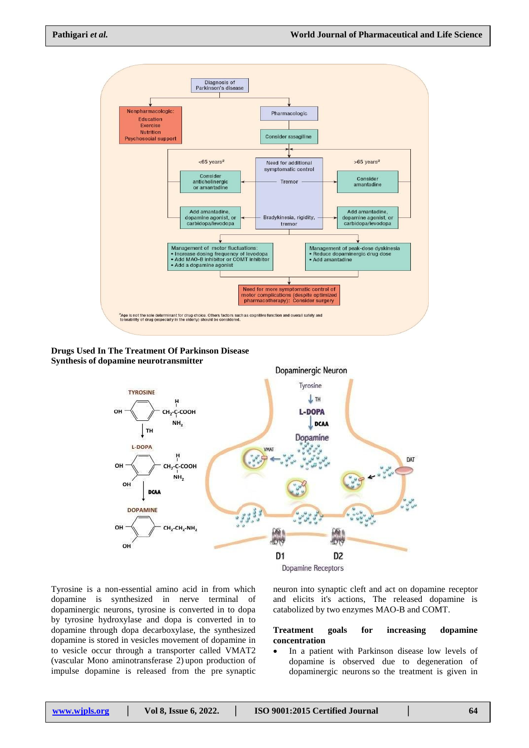

**Drugs Used In The Treatment Of Parkinson Disease Synthesis of dopamine neurotransmitter**



Tyrosine is a non-essential amino acid in from which dopamine is synthesized in nerve terminal of dopaminergic neurons, tyrosine is converted in to dopa by tyrosine hydroxylase and dopa is converted in to dopamine through dopa decarboxylase, the synthesized dopamine is stored in vesicles movement of dopamine in to vesicle occur through a transporter called VMAT2 (vascular Mono aminotransferase 2) upon production of impulse dopamine is released from the pre synaptic

neuron into synaptic cleft and act on dopamine receptor and elicits it's actions, The released dopamine is catabolized by two enzymes MAO-B and COMT.

### **Treatment goals for increasing dopamine concentration**

 In a patient with Parkinson disease low levels of dopamine is observed due to degeneration of dopaminergic neurons so the treatment is given in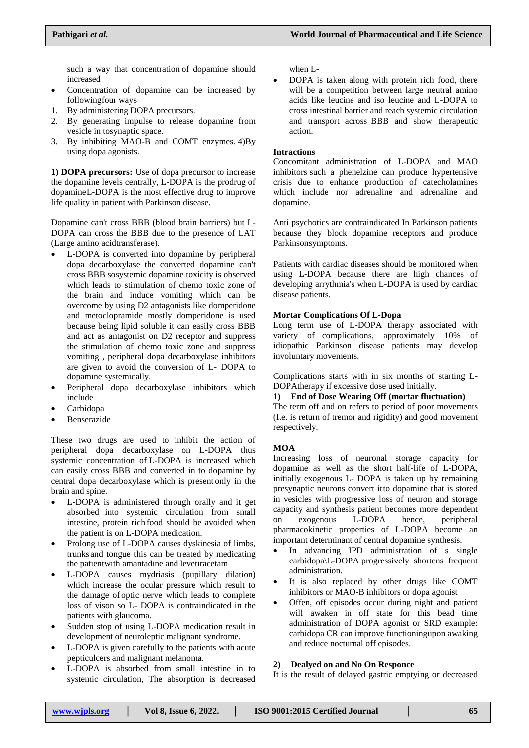such a way that concentration of dopamine should increased

- Concentration of dopamine can be increased by followingfour ways
- 1. By administering DOPA precursors.
- 2. By generating impulse to release dopamine from vesicle in tosynaptic space.
- 3. By inhibiting MAO-B and COMT enzymes. 4)By using dopa agonists.

**1) DOPA precursors:** Use of dopa precursor to increase the dopamine levels centrally, L-DOPA is the prodrug of dopamineL-DOPA is the most effective drug to improve life quality in patient with Parkinson disease.

Dopamine can't cross BBB (blood brain barriers) but L-DOPA can cross the BBB due to the presence of LAT (Large amino acidtransferase).

- L-DOPA is converted into dopamine by peripheral dopa decarboxylase the converted dopamine can't cross BBB sosystemic dopamine toxicity is observed which leads to stimulation of chemo toxic zone of the brain and induce vomiting which can be overcome by using D2 antagonists like domperidone and metoclopramide mostly domperidone is used because being lipid soluble it can easily cross BBB and act as antagonist on D2 receptor and suppress the stimulation of chemo toxic zone and suppress vomiting , peripheral dopa decarboxylase inhibitors are given to avoid the conversion of L- DOPA to dopamine systemically.
- Peripheral dopa decarboxylase inhibitors which include
- Carbidopa
- Benserazide

These two drugs are used to inhibit the action of peripheral dopa decarboxylase on L-DOPA thus systemic concentration of L-DOPA is increased which can easily cross BBB and converted in to dopamine by central dopa decarboxylase which is present only in the brain and spine.

- L-DOPA is administered through orally and it get absorbed into systemic circulation from small intestine, protein rich food should be avoided when the patient is on L-DOPA medication.
- Prolong use of L-DOPA causes dyskinesia of limbs, trunks and tongue this can be treated by medicating the patientwith amantadine and levetiracetam
- L-DOPA causes mydriasis (pupillary dilation) which increase the ocular pressure which result to the damage of optic nerve which leads to complete loss of vison so L- DOPA is contraindicated in the patients with glaucoma.
- Sudden stop of using L-DOPA medication result in development of neuroleptic malignant syndrome.
- L-DOPA is given carefully to the patients with acute pepticulcers and malignant melanoma.
- L-DOPA is absorbed from small intestine in to systemic circulation, The absorption is decreased

when L-

 DOPA is taken along with protein rich food, there will be a competition between large neutral amino acids like leucine and iso leucine and L-DOPA to cross intestinal barrier and reach systemic circulation and transport across BBB and show therapeutic action.

### **Intractions**

Concomitant administration of L-DOPA and MAO inhibitors such a phenelzine can produce hypertensive crisis due to enhance production of catecholamines which include nor adrenaline and adrenaline and dopamine.

Anti psychotics are contraindicated In Parkinson patients because they block dopamine receptors and produce Parkinsonsymptoms.

Patients with cardiac diseases should be monitored when using L-DOPA because there are high chances of developing arrythmia's when L-DOPA is used by cardiac disease patients.

### **Mortar Complications Of L-Dopa**

Long term use of L-DOPA therapy associated with variety of complications, approximately 10% of idiopathic Parkinson disease patients may develop involuntary movements.

Complications starts with in six months of starting L-DOPAtherapy if excessive dose used initially.

#### **1) End of Dose Wearing Off (mortar fluctuation)**

The term off and on refers to period of poor movements (I.e. is return of tremor and rigidity) and good movement respectively.

### **MOA**

Increasing loss of neuronal storage capacity for dopamine as well as the short half-life of L-DOPA, initially exogenous L- DOPA is taken up by remaining presynaptic neurons convert itto dopamine that is stored in vesicles with progressive loss of neuron and storage capacity and synthesis patient becomes more dependent on exogenous L-DOPA hence, peripheral pharmacokinetic properties of L-DOPA become an important determinant of central dopamine synthesis.

- In advancing IPD administration of s single carbidopa\L-DOPA progressively shortens frequent administration.
- It is also replaced by other drugs like COMT inhibitors or MAO-B inhibitors or dopa agonist
- Offen, off episodes occur during night and patient will awaken in off state for this bead time administration of DOPA agonist or SRD example: carbidopa CR can improve functioningupon awaking and reduce nocturnal off episodes.

## **2) Dealyed on and No On Responce**

It is the result of delayed gastric emptying or decreased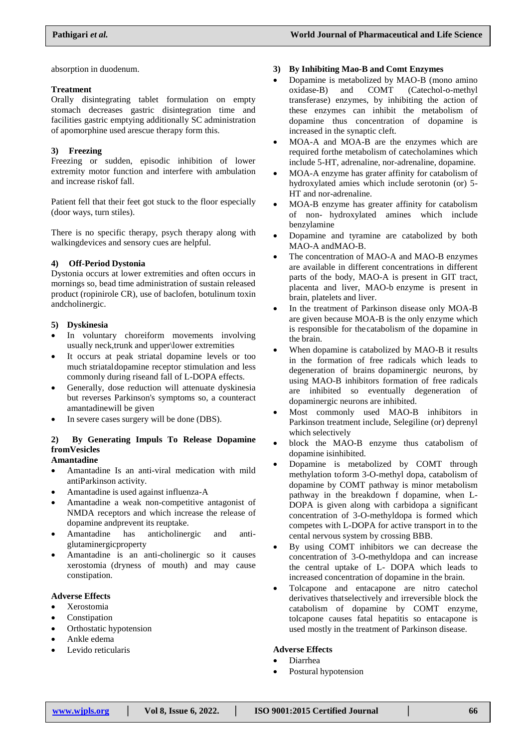absorption in duodenum.

#### **Treatment**

Orally disintegrating tablet formulation on empty stomach decreases gastric disintegration time and facilities gastric emptying additionally SC administration of apomorphine used arescue therapy form this.

#### **3) Freezing**

Freezing or sudden, episodic inhibition of lower extremity motor function and interfere with ambulation and increase riskof fall.

Patient fell that their feet got stuck to the floor especially (door ways, turn stiles).

There is no specific therapy, psych therapy along with walkingdevices and sensory cues are helpful.

### **4) Off-Period Dystonia**

Dystonia occurs at lower extremities and often occurs in mornings so, bead time administration of sustain released product (ropinirole CR), use of baclofen, botulinum toxin andcholinergic.

#### **5) Dyskinesia**

- In voluntary choreiform movements involving usually neck,trunk and upper\lower extremities
- It occurs at peak striatal dopamine levels or too much striataldopamine receptor stimulation and less commonly during riseand fall of L-DOPA effects.
- Generally, dose reduction will attenuate dyskinesia but reverses Parkinson's symptoms so, a counteract amantadinewill be given
- In severe cases surgery will be done (DBS).

#### **2) By Generating Impuls To Release Dopamine fromVesicles Amantadine**

- Amantadine Is an anti-viral medication with mild antiParkinson activity.
- Amantadine is used against influenza-A
- Amantadine a weak non-competitive antagonist of NMDA receptors and which increase the release of dopamine andprevent its reuptake.
- Amantadine has anticholinergic and antiglutaminergicproperty
- Amantadine is an anti-cholinergic so it causes xerostomia (dryness of mouth) and may cause constipation.

#### **Adverse Effects**

- Xerostomia
- Constipation
- Orthostatic hypotension
- Ankle edema
- Levido reticularis

### **3) By Inhibiting Mao-B and Comt Enzymes**

- Dopamine is metabolized by MAO-B (mono amino oxidase-B) and COMT (Catechol-o-methyl transferase) enzymes, by inhibiting the action of these enzymes can inhibit the metabolism of dopamine thus concentration of dopamine is increased in the synaptic cleft.
- MOA-A and MOA-B are the enzymes which are required forthe metabolism of catecholamines which include 5-HT, adrenaline, nor-adrenaline, dopamine.
- MOA-A enzyme has grater affinity for catabolism of hydroxylated amies which include serotonin (or) 5- HT and nor-adrenaline.
- MOA-B enzyme has greater affinity for catabolism of non- hydroxylated amines which include benzylamine
- Dopamine and tyramine are catabolized by both MAO-A andMAO-B.
- The concentration of MAO-A and MAO-B enzymes are available in different concentrations in different parts of the body, MAO-A is present in GIT tract, placenta and liver, MAO-b enzyme is present in brain, platelets and liver.
- In the treatment of Parkinson disease only MOA-B are given because MOA-B is the only enzyme which is responsible for thecatabolism of the dopamine in the brain.
- When dopamine is catabolized by MAO-B it results in the formation of free radicals which leads to degeneration of brains dopaminergic neurons, by using MAO-B inhibitors formation of free radicals are inhibited so eventually degeneration of dopaminergic neurons are inhibited.
- Most commonly used MAO-B inhibitors in Parkinson treatment include, Selegiline (or) deprenyl which selectively
- block the MAO-B enzyme thus catabolism of dopamine isinhibited.
- Dopamine is metabolized by COMT through methylation toform 3-O-methyl dopa, catabolism of dopamine by COMT pathway is minor metabolism pathway in the breakdown f dopamine, when L-DOPA is given along with carbidopa a significant concentration of 3-O-methyldopa is formed which competes with L-DOPA for active transport in to the cental nervous system by crossing BBB.
- By using COMT inhibitors we can decrease the concentration of 3-O-methyldopa and can increase the central uptake of L- DOPA which leads to increased concentration of dopamine in the brain.
- Tolcapone and entacapone are nitro catechol derivatives thatselectively and irreversible block the catabolism of dopamine by COMT enzyme, tolcapone causes fatal hepatitis so entacapone is used mostly in the treatment of Parkinson disease.

#### **Adverse Effects**

- Diarrhea
- Postural hypotension